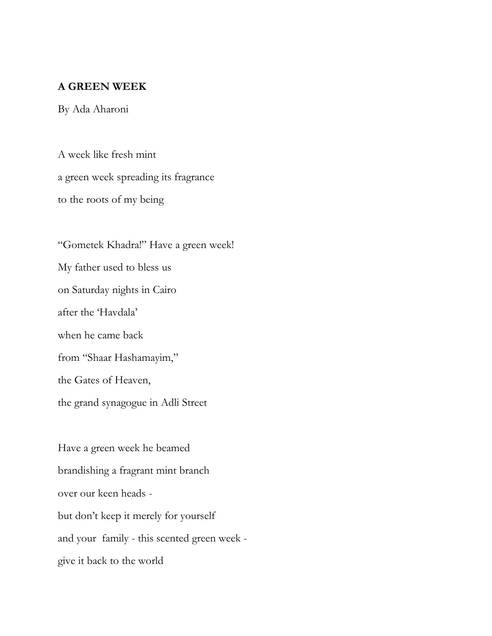## **A GREEN WEEK**

By Ada Aharoni

A week like fresh mint a green week spreading its fragrance to the roots of my being

"Gometek Khadra!" Have a green week! My father used to bless us on Saturday nights in Cairo after the 'Havdala' when he came back from "Shaar Hashamayim," the Gates of Heaven, the grand synagogue in Adli Street

Have a green week he beamed brandishing a fragrant mint branch over our keen heads but don't keep it merely for yourself and your family - this scented green week give it back to the world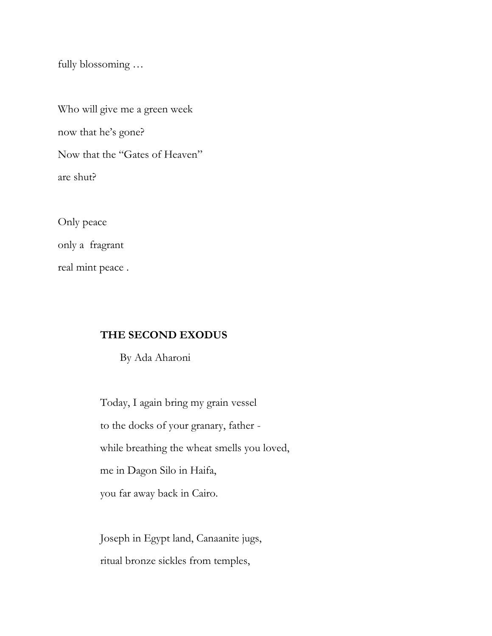fully blossoming …

Who will give me a green week now that he's gone? Now that the "Gates of Heaven" are shut?

Only peace only a fragrant real mint peace .

## **THE SECOND EXODUS**

By Ada Aharoni

 Today, I again bring my grain vessel to the docks of your granary, father while breathing the wheat smells you loved, me in Dagon Silo in Haifa, you far away back in Cairo.

 Joseph in Egypt land, Canaanite jugs, ritual bronze sickles from temples,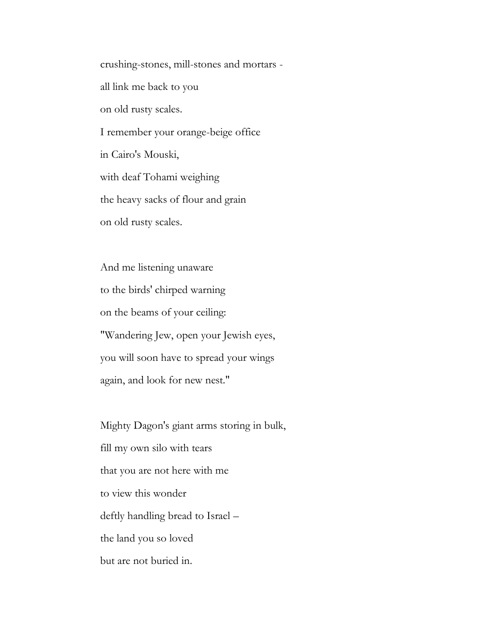crushing-stones, mill-stones and mortars all link me back to you on old rusty scales. I remember your orange-beige office in Cairo's Mouski, with deaf Tohami weighing the heavy sacks of flour and grain on old rusty scales.

 And me listening unaware to the birds' chirped warning on the beams of your ceiling: "Wandering Jew, open your Jewish eyes, you will soon have to spread your wings again, and look for new nest."

 Mighty Dagon's giant arms storing in bulk, fill my own silo with tears that you are not here with me to view this wonder deftly handling bread to Israel – the land you so loved but are not buried in.